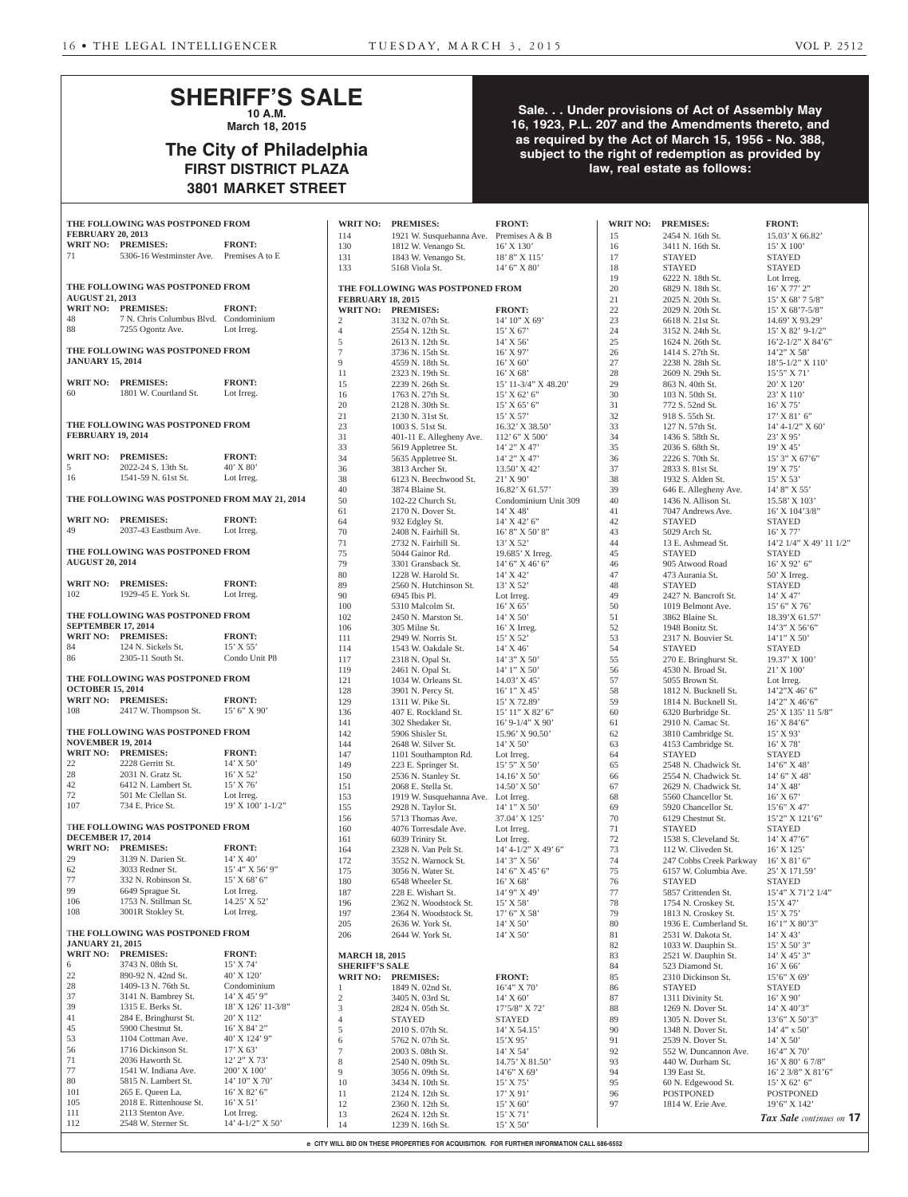# **SHERIFF'S SALE 10 A.M.**

**March 18, 2015**

# **The City of Philadelphia FIRST DISTRICT PLAZA 3801 MARKET STREET**

## **Sale. . . Under provisions of Act of Assembly May 16, 1923, P.L. 207 and the Amendments thereto, and as required by the Act of March 15, 1956 - No. 388, subject to the right of redemption as provided by law, real estate as follows:**

|                           | THE FOLLOWING WAS POSTPONED FROM                  |                                   |
|---------------------------|---------------------------------------------------|-----------------------------------|
| <b>FEBRUARY 20, 2013</b>  |                                                   |                                   |
|                           | WRIT NO: PREMISES:                                | <b>FRONT:</b>                     |
| 71                        | 5306-16 Westminster Ave. Premises A to E          |                                   |
|                           |                                                   |                                   |
|                           | THE FOLLOWING WAS POSTPONED FROM                  |                                   |
| <b>AUGUST 21, 2013</b>    |                                                   |                                   |
|                           | WRIT NO: PREMISES:                                | <b>FRONT:</b>                     |
|                           | 7 N. Chris Columbus Blvd. Condominium             |                                   |
| $\frac{48}{88}$           | 7255 Ogontz Ave. Lot Irreg.                       |                                   |
|                           | THE FOLLOWING WAS POSTPONED FROM                  |                                   |
| <b>JANUARY 15, 2014</b>   |                                                   |                                   |
|                           | WRIT NO: PREMISES:                                | <b>FRONT:</b>                     |
| 60                        | <b>PRONT:</b><br>1801 W. Courtland St. Lot Irreg. |                                   |
|                           |                                                   |                                   |
| <b>FEBRUARY 19, 2014</b>  | THE FOLLOWING WAS POSTPONED FROM                  |                                   |
|                           |                                                   |                                   |
|                           | WRIT NO: PREMISES:                                | <b>FRONT:</b>                     |
| 5                         | 2022-24 S. 13th St.<br>1541-59 N. 61st St.        | $40'$ X 80'                       |
| 16                        |                                                   | Lot Irreg.                        |
|                           | THE FOLLOWING WAS POSTPONED FROM MAY 21, 2014     |                                   |
|                           | WRIT NO: PREMISES:                                | <b>FRONT:</b>                     |
| 49 — 10                   | 2037-43 Eastburn Ave. Lot Irreg.                  |                                   |
|                           |                                                   |                                   |
| <b>AUGUST 20, 2014</b>    | THE FOLLOWING WAS POSTPONED FROM                  |                                   |
|                           |                                                   |                                   |
|                           | WRIT NO: PREMISES:<br>1929-45 E. York St.         | <b>FRONT:</b>                     |
| 102                       |                                                   | Lot Irreg.                        |
|                           | THE FOLLOWING WAS POSTPONED FROM                  |                                   |
| <b>SEPTEMBER 17, 2014</b> |                                                   |                                   |
|                           | WRIT NO: PREMISES:                                | <b>FRONT:</b>                     |
| 84<br>86                  | 124 N. Sickels St.<br>2305-11 South St.           | 15' X 55'<br>Condo Unit P8        |
|                           |                                                   |                                   |
| <b>OCTOBER 15, 2014</b>   | THE FOLLOWING WAS POSTPONED FROM                  |                                   |
| <b>WRIT NO:</b>           | <b>PREMISES:</b>                                  | <b>FRONT:</b>                     |
| 108                       | 2417 W. Thompson St.                              | 15' 6''  X 90'                    |
|                           | THE FOLLOWING WAS POSTPONED FROM                  |                                   |
| <b>NOVEMBER 19, 2014</b>  |                                                   |                                   |
|                           | WRIT NO: PREMISES:                                | <b>FRONT:</b>                     |
| 22                        | 2228 Gerritt St.                                  | $14'$ X 50'                       |
| 28                        | 2031 N. Gratz St.                                 | 16' X 52'                         |
| 42                        | 6412 N. Lambert St.                               | $15'$ X 76'                       |
| 72                        | 501 Mc Clellan St.                                | Lot Irreg.                        |
| 107                       | 734 E. Price St.                                  | 19' X 100' 1-1/2"                 |
|                           | THE FOLLOWING WAS POSTPONED FROM                  |                                   |
| <b>DECEMBER 17, 2014</b>  |                                                   |                                   |
|                           | WRIT NO: PREMISES:                                | <b>FRONT:</b>                     |
| 29                        | 3139 N. Darien St.                                | $14'$ X $40'$                     |
| 62<br>77                  | 3033 Redner St.<br>332 N. Robinson St.            | $15'$ 4" X 56' 9"<br>15' X 68' 6" |
| 99                        | 6649 Sprague St.                                  | Lot Irreg.                        |
| 106                       | 1753 N. Stillman St.                              | 14.25' X 52'                      |
| 108                       | 3001R Stokley St.                                 | Lot Irreg.                        |
|                           | THE FOLLOWING WAS POSTPONED FROM                  |                                   |
| <b>JANUARY 21, 2015</b>   |                                                   |                                   |
|                           | WRIT NO: PREMISES:                                | <b>FRONT:</b>                     |
| 6                         | 3743 N. 08th St.                                  | 15' X 74'                         |
| 22                        | 890-92 N. 42nd St.                                | 40' X 120'                        |
| 28                        | 1409-13 N. 76th St.                               | Condominium                       |
| 37                        | 3141 N. Bambrey St.                               | 14' X 45' 9"                      |
| 39                        | 1315 E. Berks St.                                 | 18' X 126' 11-3/8"                |
| 41                        | 284 E. Bringhurst St.                             | 20' X 112'                        |
| 45                        | 5900 Chestnut St.                                 | 16' X 84' 2"                      |
| 53<br>56                  | 1104 Cottman Ave.<br>1716 Dickinson St.           | 40' X 124' 9"<br>17' X 63'        |
| 71                        | 2036 Haworth St.                                  | 12' 2" X 73'                      |
| 77                        | 1541 W. Indiana Ave.                              | 200' X 100'                       |
| 80                        | 5815 N. Lambert St.                               | 14' 10" X 70'                     |
| 101                       | 265 E. Queen La.                                  | 16' X 82' 6"                      |
| 105                       | 2018 E. Rittenhouse St.                           | $16'$ X 51'                       |
| 111                       | 2113 Stenton Ave.                                 | Lot Irreg.                        |
| 112                       | 2548 W. Sterner St.                               | 14' 4-1/2" X 50'                  |

| 114                                         | 1921 W. Susquehanna Ave. Premises A & B  |                                  |
|---------------------------------------------|------------------------------------------|----------------------------------|
| 130                                         | 1812 W. Venango St.                      | $16'$ X $130'$                   |
| 131                                         | 1843 W. Venango St.                      | 18' 8" X 115'                    |
| 133                                         | 5168 Viola St.                           | 14' 6'' X 80'                    |
|                                             |                                          |                                  |
|                                             | THE FOLLOWING WAS POSTPONED FROM         |                                  |
| <b>FEBRUARY 18, 2015</b><br><b>WRIT NO:</b> | <b>PREMISES:</b>                         | <b>FRONT:</b>                    |
| 2                                           | 3132 N. 07th St.                         | 14' 10" X 69'                    |
| $\overline{4}$                              | 2554 N. 12th St.                         | 15' X 67'                        |
| 5                                           | 2613 N. 12th St.                         | $14'$ X 56'                      |
| 7                                           | 3736 N. 15th St.                         | $16'$ X 97'                      |
| 9                                           | 4559 N. 18th St.                         | 16' X 60'                        |
| 11                                          | 2323 N. 19th St.                         | $16'$ X 68'                      |
| 15                                          | 2239 N. 26th St.                         | 15' 11-3/4" X 48.20"             |
| 16                                          | 1763 N. 27th St.                         | $15'$ X 62' 6"                   |
| 20                                          | 2128 N. 30th St.                         | $15'$ X 65' 6"                   |
| 21                                          | 2130 N. 31st St.                         | 15' X 57'                        |
| 23                                          | 1003 S. 51st St.                         | 16.32' X 38.50'                  |
| 31                                          | 401-11 E. Allegheny Ave.                 | 112' 6" X 500'                   |
| 33                                          | 5619 Appletree St.                       | 14' 2" X 47'                     |
| 34                                          | 5635 Appletree St.                       | 14' 2" X 47'                     |
| 36<br>38                                    | 3813 Archer St.                          | 13.50' X 42'<br>21' X 90'        |
| 40                                          | 6123 N. Beechwood St.<br>3874 Blaine St. | 16.82' X 61.57'                  |
| 50                                          | 102-22 Church St.                        | Condominium Unit 309             |
| 61                                          | 2170 N. Dover St.                        | 14' X 48'                        |
| 64                                          | 932 Edgley St.                           | 14' X 42' 6"                     |
| 70                                          | 2408 N. Fairhill St.                     | 16' 8" X 50' 8"                  |
| 71                                          | 2732 N. Fairhill St.                     | 13' X 52'                        |
| 75                                          | 5044 Gainor Rd.                          | 19.685' X Irreg.                 |
| 79                                          | 3301 Gransback St.                       | 14' 6" X 46' 6"                  |
| 80                                          | 1228 W. Harold St.                       | 14' X 42'                        |
| 89                                          | 2560 N. Hutchinson St.                   | 13' X 52'                        |
| 90                                          | 6945 Ibis Pl.                            | Lot Irreg.                       |
| 100<br>102                                  | 5310 Malcolm St.<br>2450 N. Marston St.  | $16'$ X 65'<br>14' X 50'         |
| 106                                         | 305 Milne St.                            | $16'$ X Irreg.                   |
| 111                                         | 2949 W. Norris St.                       | 15' X 52'                        |
| 114                                         | 1543 W. Oakdale St.                      | 14' X 46'                        |
| 117                                         | 2318 N. Opal St.                         | $14'$ 3" X 50"                   |
| 119                                         | 2461 N. Opal St.                         | 14' 1" X 50'                     |
| 121                                         | 1034 W. Orleans St.                      | $14.03'$ X 45'                   |
| 128                                         | 3901 N. Percy St.                        | $16'1''$ X 45'                   |
| 129<br>136                                  | 1311 W. Pike St.<br>407 E. Rockland St.  | 15' X 72.89'<br>15' 11" X 82' 6" |
| 141                                         | 302 Shedaker St.                         | 16' 9-1/4" X 90'                 |
| 142                                         | 5906 Shisler St.                         | 15.96' X 90.50'                  |
| 144                                         | 2648 W. Silver St.                       | 14' X 50'                        |
| 147                                         | 1101 Southampton Rd.                     | Lot Irreg.                       |
| 149                                         | 223 E. Springer St.                      | 15' 5" X 50'                     |
| 150                                         | 2536 N. Stanley St.                      | $14.16'$ X 50'                   |
| 151                                         | 2068 E. Stella St.                       | 14.50' X 50'                     |
| 153                                         | 1919 W. Susquehanna Ave.                 | Lot Irreg.                       |
| 155<br>156                                  | 2928 N. Taylor St.<br>5713 Thomas Ave.   | 14' 1" X 50'<br>37.04' X 125'    |
| 160                                         | 4076 Torresdale Ave.                     | Lot Irreg.                       |
| 161                                         | 6039 Trinity St.                         | Lot Irreg.                       |
| 164                                         | 2328 N. Van Pelt St.                     | 14' 4-1/2" X 49' 6"              |
| 172                                         | 3552 N. Warnock St.                      | 14' 3" X 56'                     |
| 175                                         | 3056 N. Water St.                        | 14' 6" X 45' 6"                  |
| 180                                         | 6548 Wheeler St.                         | 16' X 68'                        |
| 187                                         | 228 E. Wishart St.                       | 14' 9" X 49'                     |
| 196                                         | 2362 N. Woodstock St.                    | 15' X 58'                        |
| 197                                         | 2364 N. Woodstock St.                    | 17' 6" X 58'                     |
| 205<br>206                                  | 2636 W. York St.<br>2644 W. York St.     | 14' X 50'<br>14' X 50'           |
|                                             |                                          |                                  |
| <b>MARCH 18, 2015</b>                       |                                          |                                  |
| <b>SHERIFF'S SALE</b>                       |                                          |                                  |
| <b>WRIT NO:</b>                             | <b>PREMISES:</b>                         | <b>FRONT:</b>                    |
| 1                                           | 1849 N. 02nd St.                         | 16'4" X 70'                      |
| 2                                           | 3405 N. 03rd St.                         | $14'$ X 60'                      |
| 3                                           | 2824 N. 05th St.                         | 17'5/8" X 72'                    |
| 4<br>5                                      | <b>STAYED</b><br>2010 S. 07th St.        | STAYED<br>14' X 54.15'           |
| 6                                           | 5762 N. 07th St.                         | 15'X95'                          |
| 7                                           | 2003 S. 08th St.                         | 14' X 54'                        |
| 8                                           | 2540 N. 09th St.                         | 14.75' X 81.50'                  |
| 9                                           | 3056 N. 09th St.                         | 14'6" X 69'                      |
| 10                                          | 3434 N. 10th St.                         | 15' X 75'                        |
| 11                                          | 2124 N. 12th St.                         | 17' X 91'                        |
| 12                                          | 2360 N. 12th St.                         | 15' X 60'                        |
| 13                                          | 2624 N. 12th St.                         | 15' X 71'                        |

| <b>WRIT NO:</b>          | <b>PREMISES:</b>                               | <b>FRONT:</b>                       | <b>WRIT NO:</b> | <b>PREMISES:</b>                           | <b>FRONT:</b>                                           |
|--------------------------|------------------------------------------------|-------------------------------------|-----------------|--------------------------------------------|---------------------------------------------------------|
| 114                      | 1921 W. Susquehanna Ave. Premises A & B        |                                     | 15              | 2454 N. 16th St.                           | 15.03' X 66.82'                                         |
| 130                      | 1812 W. Venango St.                            | $16'$ X $130'$                      | 16              | 3411 N. 16th St.                           | 15' X 100'                                              |
| 131<br>133               | 1843 W. Venango St.<br>5168 Viola St.          | 18' 8" X 115'<br>$14'$ 6" X 80"     | 17<br>18        | <b>STAYED</b><br><b>STAYED</b>             | <b>STAYED</b><br><b>STAYED</b>                          |
|                          |                                                |                                     | 19              | 6222 N. 18th St.                           | Lot Irreg.                                              |
|                          | THE FOLLOWING WAS POSTPONED FROM               |                                     | 20              | 6829 N. 18th St.                           | 16' X 77' 2"                                            |
| <b>FEBRUARY 18, 2015</b> |                                                |                                     | 21              | 2025 N. 20th St.                           | $15'$ X 68' 7 5/8"                                      |
| <b>WRIT NO:</b>          | <b>PREMISES:</b>                               | <b>FRONT:</b>                       | 22              | 2029 N. 20th St.                           | $15'$ X 68'7-5/8"                                       |
| 2                        | 3132 N. 07th St.                               | 14' 10'' X 69'                      | 23<br>24        | 6618 N. 21st St.<br>3152 N. 24th St.       | $14.69'$ X 93.29'                                       |
| 4<br>5                   | 2554 N. 12th St.<br>2613 N. 12th St.           | 15' X 67'<br>14' X 56'              | 25              | 1624 N. 26th St.                           | 15' X 82' 9-1/2"<br>$16'2 - 1/2''$ X 84'6"              |
| 7                        | 3736 N. 15th St.                               | $16'$ X 97'                         | 26              | 1414 S. 27th St.                           | 14'2" X 58'                                             |
| 9                        | 4559 N. 18th St.                               | $16'$ X 60'                         | 27              | 2238 N. 28th St.                           | $18'5 - 1/2''$ X $110'$                                 |
| 11                       | 2323 N. 19th St.                               | $16'$ X 68'                         | 28              | 2609 N. 29th St.                           | $15'5''$ X 71'                                          |
| 15                       | 2239 N. 26th St.                               | 15' 11-3/4" X 48.20"                | 29              | 863 N. 40th St.                            | 20' X 120'                                              |
| 16                       | 1763 N. 27th St.                               | $15'$ X 62' 6"                      | 30              | 103 N. 50th St.                            | 23' X 110'                                              |
| 20<br>21                 | 2128 N. 30th St.<br>2130 N. 31st St.           | $15'$ X 65' 6"<br>15' X 57'         | 31<br>32        | 772 S. 52nd St.<br>918 S. 55th St.         | $16'$ X 75'<br>$17^{\circ}\,\mathrm{X}$ 81' $6^{\circ}$ |
| 23                       | 1003 S. 51st St.                               | 16.32' X 38.50'                     | 33              | 127 N. 57th St.                            | $14' 4 - 1/2'' X 60'$                                   |
| 31                       | 401-11 E. Allegheny Ave.                       | 112' 6" X 500'                      | 34              | 1436 S. 58th St.                           | $23'$ X 95'                                             |
| 33                       | 5619 Appletree St.                             | 14' 2" X 47'                        | 35              | 2036 S. 68th St.                           | 19' X 45'                                               |
| 34                       | 5635 Appletree St.                             | 14' 2" X 47'                        | 36              | 2226 S. 70th St.                           | $15'3''$ X 67'6"                                        |
| 36                       | 3813 Archer St.                                | $13.50'$ X 42'                      | 37              | 2833 S. 81st St.                           | 19' X 75'                                               |
| 38<br>40                 | 6123 N. Beechwood St.<br>3874 Blaine St.       | $21'$ X 90'<br>16.82' X 61.57'      | 38<br>39        | 1932 S. Alden St.<br>646 E. Allegheny Ave. | $15'$ X 53'<br>$14'$ 8" X 55'                           |
| 50                       | 102-22 Church St.                              | Condominium Unit 309                | 40              | 1436 N. Allison St.                        | 15.58' X 103'                                           |
| 61                       | 2170 N. Dover St.                              | 14' X 48'                           | 41              | 7047 Andrews Ave.                          | $16'$ X $104'3/8"$                                      |
| 64                       | 932 Edgley St.                                 | $14'$ X 42' 6"                      | 42              | <b>STAYED</b>                              | <b>STAYED</b>                                           |
| 70                       | 2408 N. Fairhill St.                           | 16' 8" X 50' 8"                     | 43              | 5029 Arch St.                              | $16'$ X 77'                                             |
| 71                       | 2732 N. Fairhill St.                           | 13' X 52'                           | 44              | 13 E. Ashmead St.                          | 14'2 1/4" X 49' 11 1/2"                                 |
| 75                       | 5044 Gainor Rd.                                | 19.685' X Irreg.                    | 45              | <b>STAYED</b>                              | <b>STAYED</b>                                           |
| 79<br>80                 | 3301 Gransback St.<br>1228 W. Harold St.       | $14'$ 6" X 46' 6"<br>$14'$ X $42'$  | 46<br>47        | 905 Atwood Road<br>473 Aurania St.         | $16'$ X 92' 6"                                          |
| 89                       | 2560 N. Hutchinson St.                         | $13'$ X 52'                         | 48              | <b>STAYED</b>                              | $50'$ X Irreg.<br><b>STAYED</b>                         |
| 90                       | 6945 Ibis Pl.                                  | Lot Irreg.                          | 49              | 2427 N. Bancroft St.                       | $14'$ X $47'$                                           |
| 100                      | 5310 Malcolm St.                               | $16'$ X 65'                         | 50              | 1019 Belmont Ave.                          | 15' 6''  X 76'                                          |
| 102                      | 2450 N. Marston St.                            | $14'$ X 50'                         | 51              | 3862 Blaine St.                            | 18.39'X 61.57'                                          |
| 106                      | 305 Milne St.                                  | $16'$ X Irreg.                      | 52              | 1948 Bonitz St.                            | $14'3''$ X 56'6"                                        |
| 111                      | 2949 W. Norris St.                             | 15' X 52'                           | 53              | 2317 N. Bouvier St.                        | $14'1''$ X 50'                                          |
| 114<br>117               | 1543 W. Oakdale St.<br>2318 N. Opal St.        | 14' X 46'<br>$14'$ 3" X 50"         | 54<br>55        | <b>STAYED</b><br>270 E. Bringhurst St.     | <b>STAYED</b><br>19.37' X 100'                          |
| 119                      | 2461 N. Opal St.                               | $14'1''$ X 50'                      | 56              | 4530 N. Broad St.                          | $21'$ X $100'$                                          |
| 121                      | 1034 W. Orleans St.                            | $14.03'$ X 45'                      | 57              | 5055 Brown St.                             | Lot Irreg.                                              |
| 128                      | 3901 N. Percy St.                              | $16'1''$ X 45'                      | 58              | 1812 N. Bucknell St.                       | 14'2''X46'6''                                           |
| 129                      | 1311 W. Pike St.                               | 15' X 72.89'                        | 59              | 1814 N. Bucknell St.                       | 14'2" X 46'6"                                           |
| 136                      | 407 E. Rockland St.                            | 15' 11" X 82' 6"                    | 60              | 6320 Burbridge St.                         | 25' X 135' 11 5/8"                                      |
| 141<br>142               | 302 Shedaker St.<br>5906 Shisler St.           | 16' 9-1/4" X 90'<br>15.96' X 90.50' | 61<br>62        | 2910 N. Camac St.<br>3810 Cambridge St.    | $16'$ X $84'6''$<br>$15'$ X 93'                         |
| 144                      | 2648 W. Silver St.                             | 14' X 50'                           | 63              | 4153 Cambridge St.                         | 16' X 78'                                               |
| 147                      | 1101 Southampton Rd.                           | Lot Irreg.                          | 64              | STAYED                                     | <b>STAYED</b>                                           |
| 149                      | 223 E. Springer St.                            | $15'5''$ X 50'                      | 65              | 2548 N. Chadwick St.                       | $14'6''$ X 48'                                          |
| 150                      | 2536 N. Stanley St.                            | $14.16'$ X 50'                      | 66              | 2554 N. Chadwick St.                       | 14' 6'' X 48'                                           |
| 151                      | 2068 E. Stella St.                             | $14.50'$ X 50'                      | 67              | 2629 N. Chadwick St.                       | 14' X 48'                                               |
| 153<br>155               | 1919 W. Susquehanna Ave.<br>2928 N. Taylor St. | Lot Irreg.<br>$14'1''$ X 50'        | 68<br>69        | 5560 Chancellor St.<br>5920 Chancellor St. | $16'$ X 67'<br>$15'6''$ X 47'                           |
| 156                      | 5713 Thomas Ave.                               | 37.04' X 125'                       | 70              | 6129 Chestnut St.                          | 15'2" X 121'6"                                          |
| 160                      | 4076 Torresdale Ave.                           | Lot Irreg.                          | 71              | <b>STAYED</b>                              | <b>STAYED</b>                                           |
| 161                      | 6039 Trinity St.                               | Lot Irreg.                          | 72              | 1538 S. Cleveland St.                      | $14'$ X $47'6''$                                        |
| 164                      | 2328 N. Van Pelt St.                           | 14' 4-1/2" X 49' 6"                 | 73              | 112 W. Cliveden St.                        | 16' X 125'                                              |
| 172                      | 3552 N. Warnock St.                            | $14'3''$ X 56'                      | 74              | 247 Cobbs Creek Parkway                    | $16'$ X 81' 6"                                          |
| 175<br>180               | 3056 N. Water St.<br>6548 Wheeler St.          | $14'$ 6" X 45' 6"<br>$16'$ X 68'    | 75<br>76        | 6157 W. Columbia Ave.<br><b>STAYED</b>     | 25' X 171.59'<br><b>STAYED</b>                          |
| 187                      | 228 E. Wishart St.                             | $14'$ 9" X 49'                      | 77              | 5857 Crittenden St.                        | $15'4''$ X 71'2 $1/4''$                                 |
| 196                      | 2362 N. Woodstock St.                          | $15'$ X 58'                         | 78              | 1754 N. Croskey St.                        | 15'X47'                                                 |
| 197                      | 2364 N. Woodstock St.                          | 17' 6'' X 58'                       | 79              | 1813 N. Croskey St.                        | $15'$ X 75'                                             |
| 205                      | 2636 W. York St.                               | $14'$ X 50'                         | 80              | 1936 E. Cumberland St.                     | 16'1" X 80'3"                                           |
| 206                      | 2644 W. York St.                               | $14'$ X 50'                         | 81              | 2531 W. Dakota St.                         | $14'$ X 43'                                             |
| <b>MARCH 18, 2015</b>    |                                                |                                     | 82<br>83        | 1033 W. Dauphin St.<br>2521 W. Dauphin St. | $15'$ X 50' 3"<br>14' X 45' 3"                          |
| <b>SHERIFF'S SALE</b>    |                                                |                                     | 84              | 523 Diamond St.                            | $16'$ X 66'                                             |
| <b>WRIT NO:</b>          | <b>PREMISES:</b>                               | <b>FRONT:</b>                       | 85              | 2310 Dickinson St.                         | 15'6" X 69'                                             |
| $\mathbf{1}$             | 1849 N. 02nd St.                               | $16'4''$ X 70'                      | 86              | <b>STAYED</b>                              | <b>STAYED</b>                                           |
| $\mathfrak{2}$           | 3405 N. 03rd St.                               | $14'$ X 60'                         | 87              | 1311 Divinity St.                          | $16'$ X 90'                                             |
| 3                        | 2824 N. 05th St.                               | 17'5/8" X 72'                       | 88              | 1269 N. Dover St.                          | $14'$ X $40'3''$                                        |
| $\overline{4}$           | <b>STAYED</b><br>2010 S. 07th St.              | <b>STAYED</b>                       | 89<br>90        | 1305 N. Dover St.<br>1348 N. Dover St.     | 13'6" X 50'3"                                           |
| 5<br>6                   | 5762 N. 07th St.                               | $14'$ X 54.15'<br>15'X95'           | 91              | 2539 N. Dover St.                          | $14' 4''$ x 50'<br>$14'$ X 50'                          |
| 7                        | 2003 S. 08th St.                               | $14'$ X 54'                         | 92              | 552 W. Duncannon Ave.                      | 16'4" X 70'                                             |
| 8                        | 2540 N. 09th St.                               | 14.75' X 81.50'                     | 93              | 440 W. Durham St.                          | $16'$ X 80' 6 7/8"                                      |
| 9                        | 3056 N. 09th St.                               | $14'6''$ X 69'                      | 94              | 139 East St.                               | $16'$ 2 3/8" X 81'6"                                    |
| 10                       | 3434 N. 10th St.                               | $15'$ X 75'                         | 95              | 60 N. Edgewood St.                         | $15'$ X 62' 6"                                          |
| 11                       | 2124 N. 12th St.                               | 17' X 91'                           | 96<br>97        | <b>POSTPONED</b><br>1814 W. Erie Ave.      | POSTPONED<br>$19'6''$ X $142'$                          |
| 12<br>13                 | 2360 N. 12th St.<br>2624 N. 12th St.           | 15' X 60'<br>$15'$ X 71'            |                 |                                            |                                                         |
| 14                       | 1239 N. 16th St.                               | 15' X 50'                           |                 |                                            | Tax Sale continues on 17                                |

**e CITY WILL BID ON THESE PROPERTIES FOR ACQUISITION. FOR FURTHER INFORMATION CALL 686-6552**